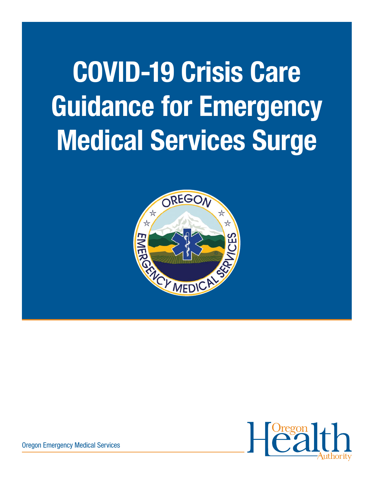# COVID-19 Crisis Care Guidance for Emergency Medical Services Surge





Oregon Emergency Medical Services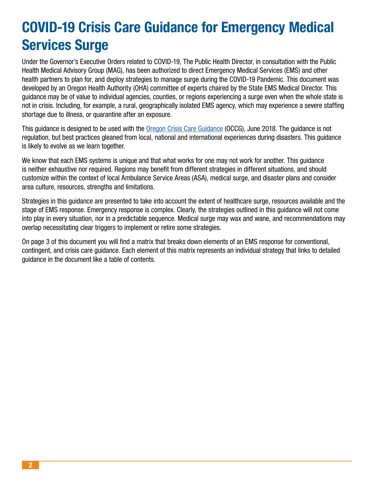# COVID-19 Crisis Care Guidance for Emergency Medical Services Surge

Under the Governor's Executive Orders related to COVID-19, The Public Health Director, in consultation with the Public Health Medical Advisory Group (MAG), has been authorized to direct Emergency Medical Services (EMS) and other health partners to plan for, and deploy strategies to manage surge during the COVID-19 Pandemic. This document was developed by an Oregon Health Authority (OHA) committee of experts chaired by the State EMS Medical Director. This guidance may be of value to individual agencies, counties, or regions experiencing a surge even when the whole state is not in crisis. Including, for example, a rural, geographically isolated EMS agency, which may experience a severe staffing shortage due to illness, or quarantine after an exposure.

This guidance is designed to be used with the [Oregon Crisis Care Guidance](https://www.theoma.org/CrisisCare) (OCCG), June 2018. The guidance is not regulation, but best practices gleaned from local, national and international experiences during disasters. This guidance is likely to evolve as we learn together.

We know that each EMS systems is unique and that what works for one may not work for another. This guidance is neither exhaustive nor required. Regions may benefit from different strategies in different situations, and should customize within the context of local Ambulance Service Areas (ASA), medical surge, and disaster plans and consider area culture, resources, strengths and limitations.

Strategies in this guidance are presented to take into account the extent of healthcare surge, resources available and the stage of EMS response. Emergency response is complex. Clearly, the strategies outlined in this guidance will not come into play in every situation, nor in a predictable sequence. Medical surge may wax and wane, and recommendations may overlap necessitating clear triggers to implement or retire some strategies.

On page 3 of this document you will find a matrix that breaks down elements of an EMS response for conventional, contingent, and crisis care guidance. Each element of this matrix represents an individual strategy that links to detailed guidance in the document like a table of contents.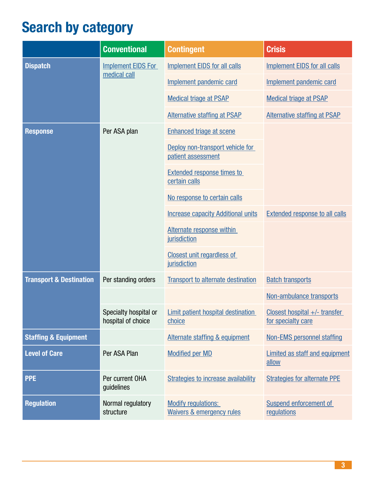# <span id="page-2-0"></span>Search by category

|                                    | <b>Conventional</b>                         | <b>Contingent</b>                                                  | <b>Crisis</b>                                       |
|------------------------------------|---------------------------------------------|--------------------------------------------------------------------|-----------------------------------------------------|
| <b>Dispatch</b>                    | <b>Implement EIDS For</b><br>medical call   | <b>Implement EIDS for all calls</b>                                | <b>Implement EIDS for all calls</b>                 |
|                                    |                                             | Implement pandemic card                                            | Implement pandemic card                             |
|                                    |                                             | <b>Medical triage at PSAP</b>                                      | <b>Medical triage at PSAP</b>                       |
|                                    |                                             | <b>Alternative staffing at PSAP</b>                                | <b>Alternative staffing at PSAP</b>                 |
| <b>Response</b>                    | Per ASA plan                                | <b>Enhanced triage at scene</b>                                    |                                                     |
|                                    |                                             | Deploy non-transport vehicle for<br>patient assessment             |                                                     |
|                                    |                                             | <b>Extended response times to</b><br>certain calls                 |                                                     |
|                                    |                                             | No response to certain calls                                       |                                                     |
|                                    |                                             | <b>Increase capacity Additional units</b>                          | <b>Extended response to all calls</b>               |
|                                    |                                             | Alternate response within<br>jurisdiction                          |                                                     |
|                                    |                                             | <b>Closest unit regardless of</b><br>jurisdiction                  |                                                     |
| <b>Transport &amp; Destination</b> | Per standing orders                         | <b>Transport to alternate destination</b>                          | <b>Batch transports</b>                             |
|                                    |                                             |                                                                    | Non-ambulance transports                            |
|                                    | Specialty hospital or<br>hospital of choice | <b>Limit patient hospital destination</b><br>choice                | Closest hospital +/- transfer<br>for specialty care |
| <b>Staffing &amp; Equipment</b>    |                                             | Alternate staffing & equipment                                     | <b>Non-EMS personnel staffing</b>                   |
| <b>Level of Care</b>               | Per ASA Plan                                | <b>Modified per MD</b>                                             | <b>Limited as staff and equipment</b><br>allow      |
| <b>PPE</b>                         | Per current OHA<br>guidelines               | <b>Strategies to increase availability</b>                         | <b>Strategies for alternate PPE</b>                 |
| <b>Regulation</b>                  | Normal regulatory<br>structure              | <b>Modify regulations:</b><br><b>Waivers &amp; emergency rules</b> | Suspend enforcement of<br>regulations               |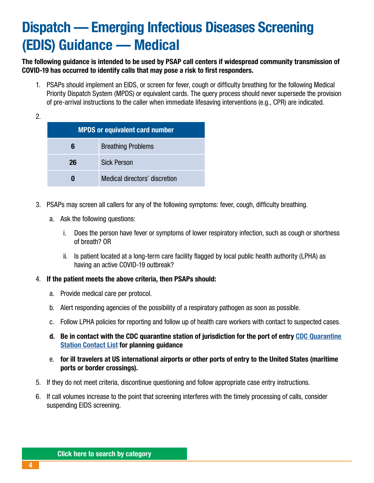# <span id="page-3-0"></span>Dispatch — Emerging Infectious Diseases Screening (EDIS) Guidance — Medical

The following guidance is intended to be used by PSAP call centers if widespread community transmission of COVID-19 has occurred to identify calls that may pose a risk to first responders.

1. PSAPs should implement an EIDS, or screen for fever, cough or difficulty breathing for the following Medical Priority Dispatch System (MPDS) or equivalent cards. The query process should never supersede the provision of pre-arrival instructions to the caller when immediate lifesaving interventions (e.g., CPR) are indicated.

2.

|    | <b>MPDS or equivalent card number</b> |
|----|---------------------------------------|
| 6  | <b>Breathing Problems</b>             |
| 26 | <b>Sick Person</b>                    |
|    | Medical directors' discretion         |

- 3. PSAPs may screen all callers for any of the following symptoms: fever, cough, difficulty breathing.
	- a. Ask the following questions:
		- i. Does the person have fever or symptoms of lower respiratory infection, such as cough or shortness of breath? OR
		- ii. Is patient located at a long-term care facility flagged by local public health authority (LPHA) as having an active COVID-19 outbreak?
- 4. If the patient meets the above criteria, then PSAPs should:
	- a. Provide medical care per protocol.
	- b. Alert responding agencies of the possibility of a respiratory pathogen as soon as possible.
	- c. Follow LPHA policies for reporting and follow up of health care workers with contact to suspected cases.
	- d. Be in contact with the CDC quarantine station of jurisdiction for the port of entry [CDC Quarantine](https://www.cdc.gov/quarantine/quarantinestationcontactlistfull.html#seattle)  [Station Contact List](https://www.cdc.gov/quarantine/quarantinestationcontactlistfull.html#seattle) for planning guidance
	- e. for ill travelers at US international airports or other ports of entry to the United States (maritime ports or border crossings).
- 5. If they do not meet criteria, discontinue questioning and follow appropriate case entry instructions.
- 6. If call volumes increase to the point that screening interferes with the timely processing of calls, consider suspending EIDS screening.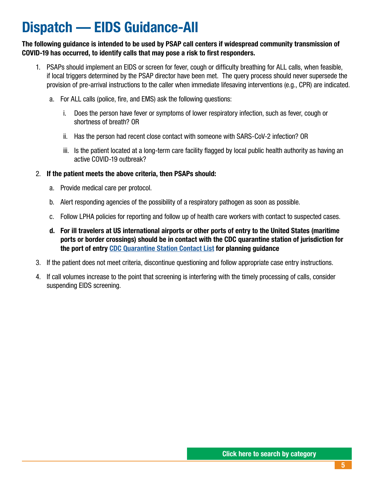# <span id="page-4-0"></span>Dispatch — EIDS Guidance-All

The following guidance is intended to be used by PSAP call centers if widespread community transmission of COVID-19 has occurred, to identify calls that may pose a risk to first responders.

- 1. PSAPs should implement an EIDS or screen for fever, cough or difficulty breathing for ALL calls, when feasible, if local triggers determined by the PSAP director have been met. The query process should never supersede the provision of pre-arrival instructions to the caller when immediate lifesaving interventions (e.g., CPR) are indicated.
	- a. For ALL calls (police, fire, and EMS) ask the following questions:
		- i. Does the person have fever or symptoms of lower respiratory infection, such as fever, cough or shortness of breath? OR
		- ii. Has the person had recent close contact with someone with SARS-CoV-2 infection? OR
		- iii. Is the patient located at a long-term care facility flagged by local public health authority as having an active COVID-19 outbreak?
- 2. If the patient meets the above criteria, then PSAPs should:
	- a. Provide medical care per protocol.
	- b. Alert responding agencies of the possibility of a respiratory pathogen as soon as possible.
	- c. Follow LPHA policies for reporting and follow up of health care workers with contact to suspected cases.
	- d. For ill travelers at US international airports or other ports of entry to the United States (maritime ports or border crossings) should be in contact with the CDC quarantine station of jurisdiction for the port of entry [CDC Quarantine Station Contact List](https://www.cdc.gov/quarantine/quarantinestationcontactlistfull.html#seattle) for planning guidance
- 3. If the patient does not meet criteria, discontinue questioning and follow appropriate case entry instructions.
- 4. If call volumes increase to the point that screening is interfering with the timely processing of calls, consider suspending EIDS screening.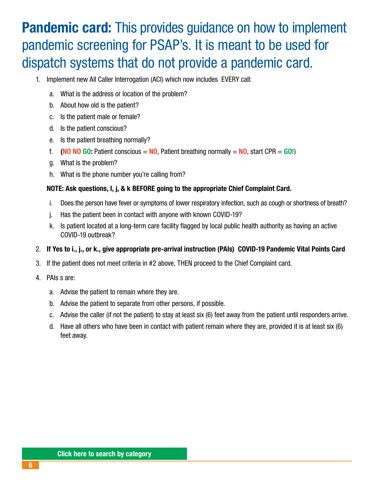# <span id="page-5-0"></span>**Pandemic card:** This provides guidance on how to implement pandemic screening for PSAP's. It is meant to be used for dispatch systems that do not provide a pandemic card.

- 1. Implement new All Caller Interrogation (ACI) which now includes EVERY call:
	- a. What is the address or location of the problem?
	- b. About how old is the patient?
	- c. Is the patient male or female?
	- d. Is the patient conscious?
	- e. Is the patient breathing normally?
	- f. (NO NO GO: Patient conscious = NO, Patient breathing normally = NO, start CPR = GO!)
	- g. What is the problem?
	- h. What is the phone number you're calling from?

#### NOTE: Ask questions, I, j, & k BEFORE going to the appropriate Chief Complaint Card.

- i. Does the person have fever or symptoms of lower respiratory infection, such as cough or shortness of breath?
- j. Has the patient been in contact with anyone with known COVID-19?
- k. Is patient located at a long-term care facility flagged by local public health authority as having an active COVID-19 outbreak?
- 2. If Yes to i., j., or k., give appropriate pre-arrival instruction (PAIs) COVID-19 Pandemic Vital Points Card
- 3. If the patient does not meet criteria in #2 above, THEN proceed to the Chief Complaint card.
- 4. PAIs s are:
	- a. Advise the patient to remain where they are.
	- b. Advise the patient to separate from other persons, if possible.
	- c. Advise the caller (if not the patient) to stay at least six (6) feet away from the patient until responders arrive.
	- d. Have all others who have been in contact with patient remain where they are, provided it is at least six (6) feet away.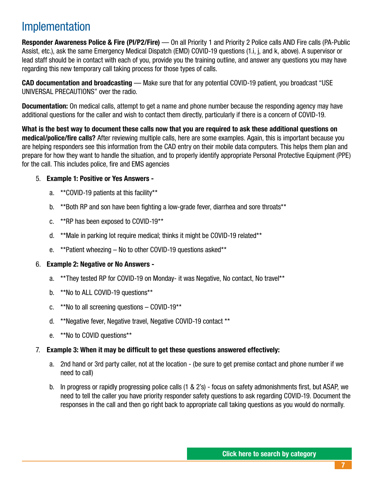### Implementation

Responder Awareness Police & Fire (Pl/P2/Fire) — On all Priority 1 and Priority 2 Police calls AND Fire calls (PA-Public Assist, etc.), ask the same Emergency Medical Dispatch (EMD) COVID-19 questions (1.i, j, and k, above). A supervisor or lead staff should be in contact with each of you, provide you the training outline, and answer any questions you may have regarding this new temporary call taking process for those types of calls.

CAD documentation and broadcasting — Make sure that for any potential COVID-19 patient, you broadcast "USE UNIVERSAL PRECAUTIONS" over the radio.

Documentation: On medical calls, attempt to get a name and phone number because the responding agency may have additional questions for the caller and wish to contact them directly, particularly if there is a concern of COVID-19.

What is the best way to document these calls now that you are required to ask these additional questions on medical/police/fire calls? After reviewing multiple calls, here are some examples. Again, this is important because you are helping responders see this information from the CAD entry on their mobile data computers. This helps them plan and prepare for how they want to handle the situation, and to properly identify appropriate Personal Protective Equipment (PPE) for the call. This includes police, fire and EMS agencies

#### 5. Example 1: Positive or Yes Answers -

- a. \*\*COVID-19 patients at this facility\*\*
- b. \*\*Both RP and son have been fighting a low-grade fever, diarrhea and sore throats\*\*
- c. \*\*RP has been exposed to COVID-19\*\*
- d. \*\*Male in parking lot require medical; thinks it might be COVID-19 related\*\*
- e. \*\*Patient wheezing No to other COVID-19 questions asked\*\*

#### 6. Example 2: Negative or No Answers -

- a. \*\*They tested RP for COVID-19 on Monday- it was Negative, No contact, No travel\*\*
- b. \*\*No to ALL COVID-19 questions\*\*
- c. \*\*No to all screening questions COVID-19\*\*
- d. \*\*Negative fever, Negative travel, Negative COVID-19 contact \*\*
- e. \*\*No to COVID questions\*\*

#### 7. Example 3: When it may be difficult to get these questions answered effectively:

- a. 2nd hand or 3rd party caller, not at the location (be sure to get premise contact and phone number if we need to call)
- b. In progress or rapidly progressing police calls (1 & 2's) focus on safety admonishments first, but ASAP, we need to tell the caller you have priority responder safety questions to ask regarding COVID-19. Document the responses in the call and then go right back to appropriate call taking questions as you would do normally.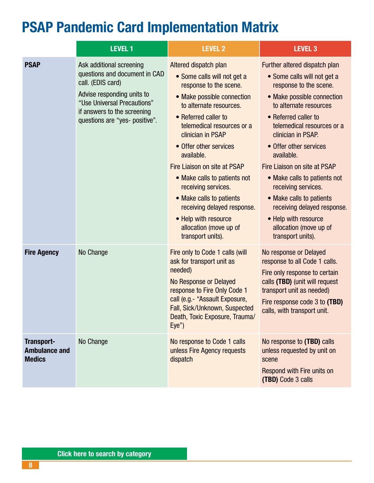# <span id="page-7-0"></span>PSAP Pandemic Card Implementation Matrix

|                                                     | <b>LEVEL 1</b>                                                                                                                                                                                               | <b>LEVEL 2</b>                                                                                                                                                                                                                                                                                                                                                                                                                                                                      | <b>LEVEL 3</b>                                                                                                                                                                                                                                                                                                                                                                                                                                                                              |
|-----------------------------------------------------|--------------------------------------------------------------------------------------------------------------------------------------------------------------------------------------------------------------|-------------------------------------------------------------------------------------------------------------------------------------------------------------------------------------------------------------------------------------------------------------------------------------------------------------------------------------------------------------------------------------------------------------------------------------------------------------------------------------|---------------------------------------------------------------------------------------------------------------------------------------------------------------------------------------------------------------------------------------------------------------------------------------------------------------------------------------------------------------------------------------------------------------------------------------------------------------------------------------------|
| <b>PSAP</b>                                         | Ask additional screening<br>questions and document in CAD<br>call. (EDIS card)<br>Advise responding units to<br>"Use Universal Precautions"<br>if answers to the screening<br>questions are "yes- positive". | Altered dispatch plan<br>• Some calls will not get a<br>response to the scene.<br>• Make possible connection<br>to alternate resources.<br>• Referred caller to<br>telemedical resources or a<br>clinician in PSAP<br>• Offer other services<br>available.<br>Fire Liaison on site at PSAP<br>• Make calls to patients not<br>receiving services.<br>• Make calls to patients<br>receiving delayed response.<br>• Help with resource<br>allocation (move up of<br>transport units). | Further altered dispatch plan<br>• Some calls will not get a<br>response to the scene.<br>• Make possible connection<br>to alternate resources<br>• Referred caller to<br>telemedical resources or a<br>clinician in PSAP.<br>• Offer other services<br>available.<br>Fire Liaison on site at PSAP<br>• Make calls to patients not<br>receiving services.<br>• Make calls to patients<br>receiving delayed response.<br>• Help with resource<br>allocation (move up of<br>transport units). |
| <b>Fire Agency</b>                                  | No Change                                                                                                                                                                                                    | Fire only to Code 1 calls (will<br>ask for transport unit as<br>needed)<br><b>No Response or Delayed</b><br>response to Fire Only Code 1<br>call (e.g.- "Assault Exposure,<br>Fall, Sick/Unknown, Suspected<br>Death, Toxic Exposure, Trauma/<br>Eye'                                                                                                                                                                                                                               | No response or Delayed<br>response to all Code 1 calls.<br>Fire only response to certain<br>calls (TBD) (unit will request<br>transport unit as needed)<br>Fire response code 3 to (TBD)<br>calls, with transport unit.                                                                                                                                                                                                                                                                     |
| Transport-<br><b>Ambulance and</b><br><b>Medics</b> | No Change                                                                                                                                                                                                    | No response to Code 1 calls<br>unless Fire Agency requests<br>dispatch                                                                                                                                                                                                                                                                                                                                                                                                              | No response to (TBD) calls<br>unless requested by unit on<br>scene<br>Respond with Fire units on<br>(TBD) Code 3 calls                                                                                                                                                                                                                                                                                                                                                                      |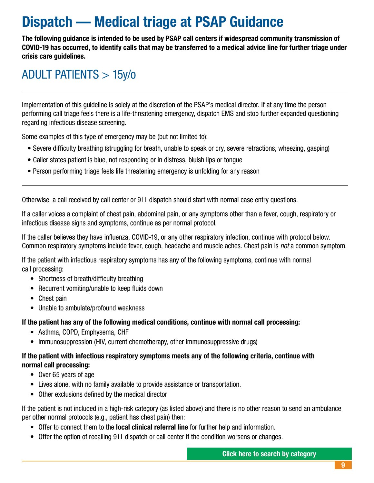# <span id="page-8-0"></span>Dispatch — Medical triage at PSAP Guidance

The following guidance is intended to be used by PSAP call centers if widespread community transmission of COVID-19 has occurred, to identify calls that may be transferred to a medical advice line for further triage under crisis care guidelines.

# ADULT PATIENTS > 15y/o

Implementation of this guideline is solely at the discretion of the PSAP's medical director. If at any time the person performing call triage feels there is a life-threatening emergency, dispatch EMS and stop further expanded questioning regarding infectious disease screening.

Some examples of this type of emergency may be (but not limited to):

- Severe difficulty breathing (struggling for breath, unable to speak or cry, severe retractions, wheezing, gasping)
- Caller states patient is blue, not responding or in distress, bluish lips or tongue
- Person performing triage feels life threatening emergency is unfolding for any reason

Otherwise, a call received by call center or 911 dispatch should start with normal case entry questions.

If a caller voices a complaint of chest pain, abdominal pain, or any symptoms other than a fever, cough, respiratory or infectious disease signs and symptoms, continue as per normal protocol.

If the caller believes they have influenza, COVID-19, or any other respiratory infection, continue with protocol below. Common respiratory symptoms include fever, cough, headache and muscle aches. Chest pain is *not* a common symptom.

If the patient with infectious respiratory symptoms has any of the following symptoms, continue with normal call processing:

- Shortness of breath/difficulty breathing
- Recurrent vomiting/unable to keep fluids down
- Chest pain
- Unable to ambulate/profound weakness

If the patient has any of the following medical conditions, continue with normal call processing:

- Asthma, COPD, Emphysema, CHF
- Immunosuppression (HIV, current chemotherapy, other immunosuppressive drugs)

#### If the patient with infectious respiratory symptoms meets any of the following criteria, continue with normal call processing:

- Over 65 years of age
- Lives alone, with no family available to provide assistance or transportation.
- Other exclusions defined by the medical director

If the patient is not included in a high-risk category (as listed above) and there is no other reason to send an ambulance per other normal protocols (e.g., patient has chest pain) then:

- Offer to connect them to the **local clinical referral line** for further help and information.
- Offer the option of recalling 911 dispatch or call center if the condition worsens or changes.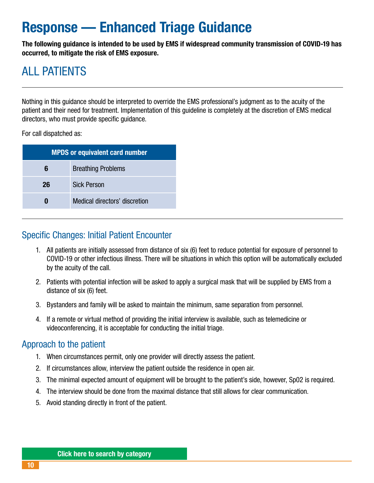# <span id="page-9-0"></span>Response — Enhanced Triage Guidance

The following guidance is intended to be used by EMS if widespread community transmission of COVID-19 has occurred, to mitigate the risk of EMS exposure.

# ALL PATIFNTS

Nothing in this guidance should be interpreted to override the EMS professional's judgment as to the acuity of the patient and their need for treatment. Implementation of this guideline is completely at the discretion of EMS medical directors, who must provide specific guidance.

For call dispatched as:

| <b>MPDS or equivalent card number</b> |                               |
|---------------------------------------|-------------------------------|
| 6                                     | <b>Breathing Problems</b>     |
| 26                                    | <b>Sick Person</b>            |
|                                       | Medical directors' discretion |

### Specific Changes: Initial Patient Encounter

- 1. All patients are initially assessed from distance of six (6) feet to reduce potential for exposure of personnel to COVID-19 or other infectious illness. There will be situations in which this option will be automatically excluded by the acuity of the call.
- 2. Patients with potential infection will be asked to apply a surgical mask that will be supplied by EMS from a distance of six (6) feet.
- 3. Bystanders and family will be asked to maintain the minimum, same separation from personnel.
- 4. If a remote or virtual method of providing the initial interview is available, such as telemedicine or videoconferencing, it is acceptable for conducting the initial triage.

### Approach to the patient

- 1. When circumstances permit, only one provider will directly assess the patient.
- 2. If circumstances allow, interview the patient outside the residence in open air.
- 3. The minimal expected amount of equipment will be brought to the patient's side, however, Sp02 is required.
- 4. The interview should be done from the maximal distance that still allows for clear communication.
- 5. Avoid standing directly in front of the patient.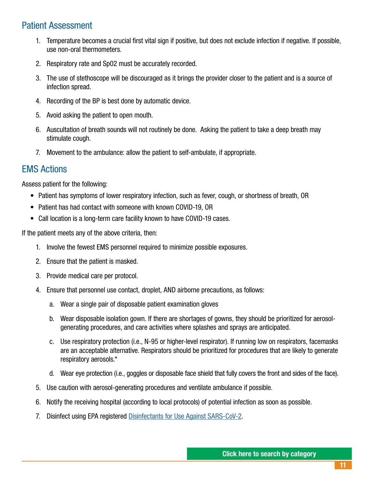### Patient Assessment

- 1. Temperature becomes a crucial first vital sign if positive, but does not exclude infection if negative. If possible, use non-oral thermometers.
- 2. Respiratory rate and Sp02 must be accurately recorded.
- 3. The use of stethoscope will be discouraged as it brings the provider closer to the patient and is a source of infection spread.
- 4. Recording of the BP is best done by automatic device.
- 5. Avoid asking the patient to open mouth.
- 6. Auscultation of breath sounds will not routinely be done. Asking the patient to take a deep breath may stimulate cough.
- 7. Movement to the ambulance: allow the patient to self-ambulate, if appropriate.

### EMS Actions

Assess patient for the following:

- Patient has symptoms of lower respiratory infection, such as fever, cough, or shortness of breath, OR
- Patient has had contact with someone with known COVID-19, OR
- Call location is a long-term care facility known to have COVID-19 cases.

If the patient meets any of the above criteria, then:

- 1. Involve the fewest EMS personnel required to minimize possible exposures.
- 2. Ensure that the patient is masked.
- 3. Provide medical care per protocol.
- 4. Ensure that personnel use contact, droplet, AND airborne precautions, as follows:
	- a. Wear a single pair of disposable patient examination gloves
	- b. Wear disposable isolation gown. If there are shortages of gowns, they should be prioritized for aerosolgenerating procedures, and care activities where splashes and sprays are anticipated.
	- c. Use respiratory protection (i.e., N-95 or higher-level respirator). If running low on respirators, facemasks are an acceptable alternative. Respirators should be prioritized for procedures that are likely to generate respiratory aerosols.\*
	- d. Wear eye protection (i.e., goggles or disposable face shield that fully covers the front and sides of the face).
- 5. Use caution with aerosol-generating procedures and ventilate ambulance if possible.
- 6. Notify the receiving hospital (according to local protocols) of potential infection as soon as possible.
- 7. Disinfect using EPA registered [Disinfectants for Use Against SARS-CoV-2](https://www.epa.gov/pesticide-registration/list-n-disinfectants-use-against-sars-cov-2).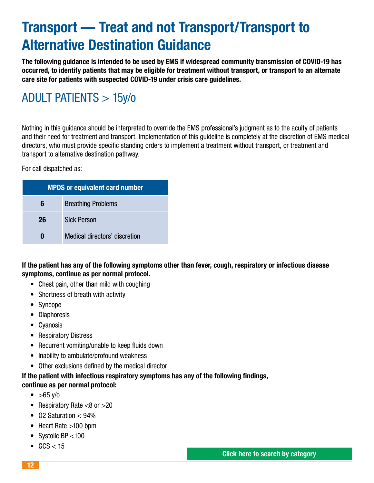# <span id="page-11-0"></span>Transport — Treat and not Transport/Transport to Alternative Destination Guidance

The following guidance is intended to be used by EMS if widespread community transmission of COVID-19 has occurred, to identify patients that may be eligible for treatment without transport, or transport to an alternate care site for patients with suspected COVID-19 under crisis care guidelines.

# ADULT PATIENTS > 15y/o

Nothing in this guidance should be interpreted to override the EMS professional's judgment as to the acuity of patients and their need for treatment and transport. Implementation of this guideline is completely at the discretion of EMS medical directors, who must provide specific standing orders to implement a treatment without transport, or treatment and transport to alternative destination pathway.

For call dispatched as:

| <b>MPDS or equivalent card number</b> |                               |
|---------------------------------------|-------------------------------|
| 6                                     | <b>Breathing Problems</b>     |
| 26                                    | <b>Sick Person</b>            |
|                                       | Medical directors' discretion |

If the patient has any of the following symptoms other than fever, cough, respiratory or infectious disease symptoms, continue as per normal protocol.

- Chest pain, other than mild with coughing
- Shortness of breath with activity
- Syncope
- Diaphoresis
- Cyanosis
- Respiratory Distress
- Recurrent vomiting/unable to keep fluids down
- Inability to ambulate/profound weakness
- Other exclusions defined by the medical director

#### If the patient with infectious respiratory symptoms has any of the following findings, continue as per normal protocol:

- $>65$   $V/0$
- Respiratory Rate  $<8$  or  $>20$
- $\bullet$  02 Saturation  $<$  94%
- Heart Rate >100 bpm
- Systolic BP <100
- $GCS < 15$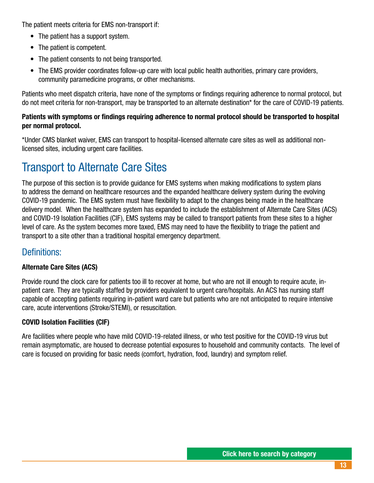The patient meets criteria for EMS non-transport if:

- The patient has a support system.
- The patient is competent.
- The patient consents to not being transported.
- The EMS provider coordinates follow-up care with local public health authorities, primary care providers, community paramedicine programs, or other mechanisms.

Patients who meet dispatch criteria, have none of the symptoms or findings requiring adherence to normal protocol, but do not meet criteria for non-transport, may be transported to an alternate destination\* for the care of COVID-19 patients.

#### Patients with symptoms or findings requiring adherence to normal protocol should be transported to hospital per normal protocol.

\*Under CMS blanket waiver, EMS can transport to hospital-licensed alternate care sites as well as additional nonlicensed sites, including urgent care facilities.

# Transport to Alternate Care Sites

The purpose of this section is to provide guidance for EMS systems when making modifications to system plans to address the demand on healthcare resources and the expanded healthcare delivery system during the evolving COVID-19 pandemic. The EMS system must have flexibility to adapt to the changes being made in the healthcare delivery model. When the healthcare system has expanded to include the establishment of Alternate Care Sites (ACS) and COVID-19 Isolation Facilities (CIF), EMS systems may be called to transport patients from these sites to a higher level of care. As the system becomes more taxed, EMS may need to have the flexibility to triage the patient and transport to a site other than a traditional hospital emergency department.

### Definitions:

#### Alternate Care Sites (ACS)

Provide round the clock care for patients too ill to recover at home, but who are not ill enough to require acute, inpatient care. They are typically staffed by providers equivalent to urgent care/hospitals. An ACS has nursing staff capable of accepting patients requiring in-patient ward care but patients who are not anticipated to require intensive care, acute interventions (Stroke/STEMI), or resuscitation.

#### COVID Isolation Facilities (CIF)

Are facilities where people who have mild COVID-19-related illness, or who test positive for the COVID-19 virus but remain asymptomatic, are housed to decrease potential exposures to household and community contacts. The level of care is focused on providing for basic needs (comfort, hydration, food, laundry) and symptom relief.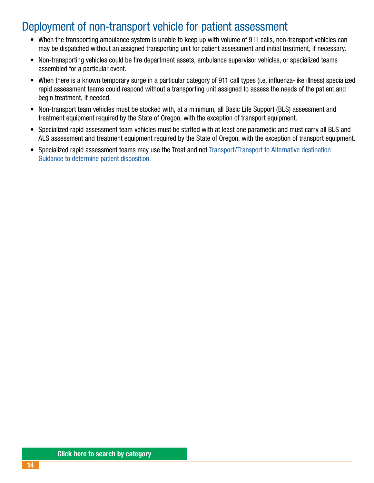# <span id="page-13-0"></span>Deployment of non-transport vehicle for patient assessment

- When the transporting ambulance system is unable to keep up with volume of 911 calls, non-transport vehicles can may be dispatched without an assigned transporting unit for patient assessment and initial treatment, if necessary.
- Non-transporting vehicles could be fire department assets, ambulance supervisor vehicles, or specialized teams assembled for a particular event.
- When there is a known temporary surge in a particular category of 911 call types (i.e. influenza-like illness) specialized rapid assessment teams could respond without a transporting unit assigned to assess the needs of the patient and begin treatment, if needed.
- Non-transport team vehicles must be stocked with, at a minimum, all Basic Life Support (BLS) assessment and treatment equipment required by the State of Oregon, with the exception of transport equipment.
- Specialized rapid assessment team vehicles must be staffed with at least one paramedic and must carry all BLS and ALS assessment and treatment equipment required by the State of Oregon, with the exception of transport equipment.
- Specialized rapid assessment teams may use the Treat and not [Transport/Transport to Alternative destination](#page-11-0)  [Guidance to determine patient disposition](#page-11-0).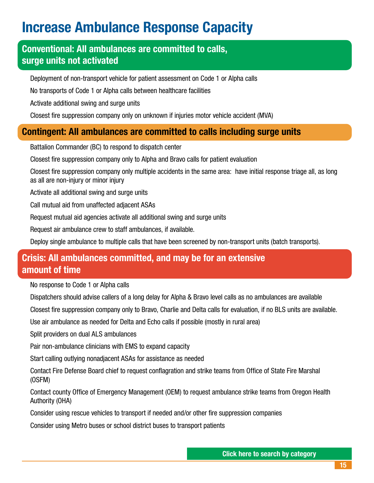# <span id="page-14-0"></span>Increase Ambulance Response Capacity

### Conventional: All ambulances are committed to calls, surge units not activated

Deployment of non-transport vehicle for patient assessment on Code 1 or Alpha calls

No transports of Code 1 or Alpha calls between healthcare facilities

Activate additional swing and surge units

Closest fire suppression company only on unknown if injuries motor vehicle accident (MVA)

### Contingent: All ambulances are committed to calls including surge units

Battalion Commander (BC) to respond to dispatch center

Closest fire suppression company only to Alpha and Bravo calls for patient evaluation

Closest fire suppression company only multiple accidents in the same area: have initial response triage all, as long as all are non-injury or minor injury

Activate all additional swing and surge units

Call mutual aid from unaffected adjacent ASAs

Request mutual aid agencies activate all additional swing and surge units

Request air ambulance crew to staff ambulances, if available.

Deploy single ambulance to multiple calls that have been screened by non-transport units (batch transports).

### Crisis: All ambulances committed, and may be for an extensive amount of time

No response to Code 1 or Alpha calls

Dispatchers should advise callers of a long delay for Alpha & Bravo level calls as no ambulances are available

Closest fire suppression company only to Bravo, Charlie and Delta calls for evaluation, if no BLS units are available.

Use air ambulance as needed for Delta and Echo calls if possible (mostly in rural area)

Split providers on dual ALS ambulances

Pair non-ambulance clinicians with EMS to expand capacity

Start calling outlying nonadjacent ASAs for assistance as needed

Contact Fire Defense Board chief to request conflagration and strike teams from Office of State Fire Marshal (OSFM)

Contact county Office of Emergency Management (OEM) to request ambulance strike teams from Oregon Health Authority (OHA)

Consider using rescue vehicles to transport if needed and/or other fire suppression companies

Consider using Metro buses or school district buses to transport patients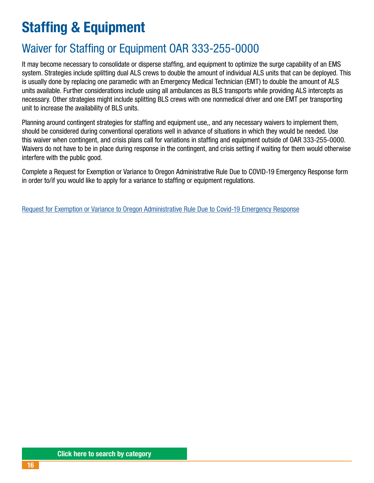# <span id="page-15-0"></span>Staffing & Equipment

# Waiver for Staffing or Equipment OAR 333-255-0000

It may become necessary to consolidate or disperse staffing, and equipment to optimize the surge capability of an EMS system. Strategies include splitting dual ALS crews to double the amount of individual ALS units that can be deployed. This is usually done by replacing one paramedic with an Emergency Medical Technician (EMT) to double the amount of ALS units available. Further considerations include using all ambulances as BLS transports while providing ALS intercepts as necessary. Other strategies might include splitting BLS crews with one nonmedical driver and one EMT per transporting unit to increase the availability of BLS units.

Planning around contingent strategies for staffing and equipment use,, and any necessary waivers to implement them, should be considered during conventional operations well in advance of situations in which they would be needed. Use this waiver when contingent, and crisis plans call for variations in staffing and equipment outside of OAR 333-255-0000. Waivers do not have to be in place during response in the contingent, and crisis setting if waiting for them would otherwise interfere with the public good.

Complete a Request for Exemption or Variance to Oregon Administrative Rule Due to COVID-19 Emergency Response form in order to/if you would like to apply for a variance to staffing or equipment regulations.

[Request for Exemption or Variance to Oregon Administrative Rule Due to Covid-19 Emergency Response](https://sharedsystems.dhsoha.state.or.us/DHSForms/Served/le2752A.pdf)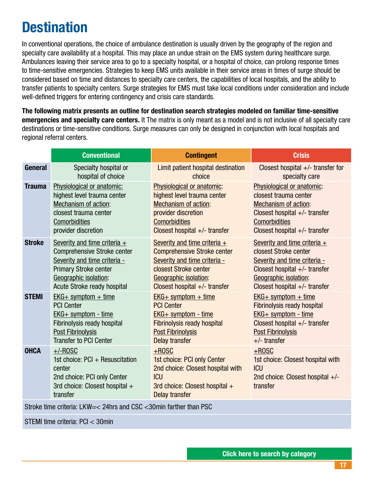# <span id="page-16-0"></span>**Destination**

In conventional operations, the choice of ambulance destination is usually driven by the geography of the region and specialty care availability at a hospital. This may place an undue strain on the EMS system during healthcare surge. Ambulances leaving their service area to go to a specialty hospital, or a hospital of choice, can prolong response times to time-sensitive emergencies. Strategies to keep EMS units available in their service areas in times of surge should be considered based on time and distances to specialty care centers, the capabilities of local hospitals, and the ability to transfer patients to specialty centers. Surge strategies for EMS must take local conditions under consideration and include well-defined triggers for entering contingency and crisis care standards.

The following matrix presents an outline for destination search strategies modeled on familiar time-sensitive emergencies and specialty care centers. It The matrix is only meant as a model and is not inclusive of all specialty care destinations or time-sensitive conditions. Surge measures can only be designed in conjunction with local hospitals and regional referral centers.

|               | <b>Conventional</b>                                                                                                                  | <b>Contingent</b>                                                                                                                              | <b>Crisis</b>                                                                                                 |
|---------------|--------------------------------------------------------------------------------------------------------------------------------------|------------------------------------------------------------------------------------------------------------------------------------------------|---------------------------------------------------------------------------------------------------------------|
| General       | Specialty hospital or                                                                                                                | Limit patient hospital destination                                                                                                             | Closest hospital $+/-$ transfer for                                                                           |
|               | hospital of choice                                                                                                                   | choice                                                                                                                                         | specialty care                                                                                                |
| <b>Trauma</b> | Physiological or anatomic:                                                                                                           | Physiological or anatomic:                                                                                                                     | Physiological or anatomic:                                                                                    |
|               | highest level trauma center                                                                                                          | highest level trauma center                                                                                                                    | closest trauma center                                                                                         |
|               | Mechanism of action:                                                                                                                 | <b>Mechanism of action:</b>                                                                                                                    | <b>Mechanism of action:</b>                                                                                   |
|               | closest trauma center                                                                                                                | provider discretion                                                                                                                            | Closest hospital $+/-$ transfer                                                                               |
|               | Comorbidities                                                                                                                        | <b>Comorbidities</b>                                                                                                                           | <b>Comorbidities</b>                                                                                          |
|               | provider discretion                                                                                                                  | Closest hospital $+/-$ transfer                                                                                                                | Closest hospital $+/-$ transfer                                                                               |
| <b>Stroke</b> | Severity and time criteria $+$                                                                                                       | Severity and time criteria $+$                                                                                                                 | Severity and time criteria $+$                                                                                |
|               | <b>Comprehensive Stroke center</b>                                                                                                   | <b>Comprehensive Stroke center</b>                                                                                                             | closest Stroke center                                                                                         |
|               | Severity and time criteria -                                                                                                         | Severity and time criteria -                                                                                                                   | Severity and time criteria -                                                                                  |
|               | <b>Primary Stroke center</b>                                                                                                         | closest Stroke center                                                                                                                          | Closest hospital $+/-$ transfer                                                                               |
|               | Geographic isolation:                                                                                                                | Geographic isolation:                                                                                                                          | Geographic isolation:                                                                                         |
|               | Acute Stroke ready hospital                                                                                                          | Closest hospital $+/-$ transfer                                                                                                                | Closest hospital $+/-$ transfer                                                                               |
| <b>STEMI</b>  | $EKG+$ symptom + time                                                                                                                | $EKG+$ symptom + time                                                                                                                          | $EKG+$ symptom + time                                                                                         |
|               | <b>PCI Center</b>                                                                                                                    | <b>PCI Center</b>                                                                                                                              | <b>Fibrinolysis ready hospital</b>                                                                            |
|               | $EKG+$ symptom - time                                                                                                                | $EKG+$ symptom - time                                                                                                                          | EKG+ symptom - time                                                                                           |
|               | Fibrinolysis ready hospital                                                                                                          | <b>Fibrinolysis ready hospital</b>                                                                                                             | Closest hospital $+/-$ transfer                                                                               |
|               | <b>Post Fibrinolysis</b>                                                                                                             | <b>Post Fibrinolysis</b>                                                                                                                       | <b>Post Fibrinolysis</b>                                                                                      |
|               | <b>Transfer to PCI Center</b>                                                                                                        | <b>Delay transfer</b>                                                                                                                          | $+/-$ transfer                                                                                                |
| <b>OHCA</b>   | $+/-$ ROSC<br>1st choice: PCI + Resuscitation<br>center<br>2nd choice: PCI only Center<br>3rd choice: Closest hospital +<br>transfer | $+$ ROSC<br>1st choice: PCI only Center<br>2nd choice: Closest hospital with<br><b>ICU</b><br>3rd choice: Closest hospital +<br>Delay transfer | $+$ ROSC<br>1st choice: Closest hospital with<br><b>ICU</b><br>2nd choice: Closest hospital $+/-$<br>transfer |

Stroke time criteria: LKW=< 24hrs and CSC <30min farther than PSC

STEMI time criteria: PCI < 30min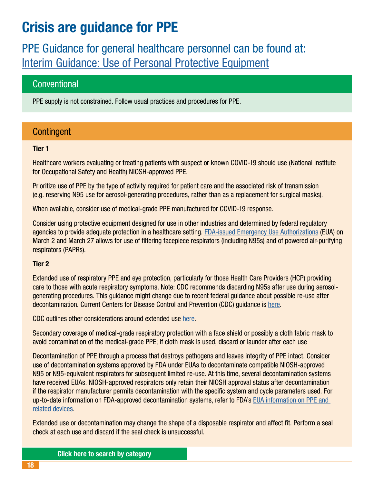# <span id="page-17-0"></span>Crisis are guidance for PPE

PPE Guidance for general healthcare personnel can be found at: [Interim Guidance: Use of Personal Protective Equipment](https://sharedsystems.dhsoha.state.or.us/DHSForms/Served/le2288t.pdf)

### **Conventional**

PPE supply is not constrained. Follow usual practices and procedures for PPE.

### **Contingent**

#### Tier 1

Healthcare workers evaluating or treating patients with suspect or known COVID-19 should use (National Institute for Occupational Safety and Health) NIOSH-approved PPE.

Prioritize use of PPE by the type of activity required for patient care and the associated risk of transmission (e.g. reserving N95 use for aerosol-generating procedures, rather than as a replacement for surgical masks).

When available, consider use of medical-grade PPE manufactured for COVID-19 response.

Consider using protective equipment designed for use in other industries and determined by federal regulatory agencies to provide adequate protection in a healthcare setting. [FDA-issued Emergency Use Authorizations](https://www.fda.gov/media/135763/download) (EUA) on March 2 and March 27 allows for use of filtering facepiece respirators (including N95s) and of powered air-purifying respirators (PAPRs).

#### Tier 2

Extended use of respiratory PPE and eye protection, particularly for those Health Care Providers (HCP) providing care to those with acute respiratory symptoms. Note: CDC recommends discarding N95s after use during aerosolgenerating procedures. This guidance might change due to recent federal guidance about possible re-use after decontamination. Current Centers for Disease Control and Prevention (CDC) guidance is [here](http://www.cdc.gov/niosh/topics/hcwcontrols/recommendedguidanceextuse.html).

CDC outlines other considerations around extended use [here](http://www.cdc.gov/coronavirus/2019-ncov/infection-control/control-recommendations.html).

Secondary coverage of medical-grade respiratory protection with a face shield or possibly a cloth fabric mask to avoid contamination of the medical-grade PPE; if cloth mask is used, discard or launder after each use

Decontamination of PPE through a process that destroys pathogens and leaves integrity of PPE intact. Consider use of decontamination systems approved by FDA under EUAs to decontaminate compatible NIOSH-approved N95 or N95-equivalent respirators for subsequent limited re-use. At this time, several decontamination systems have received EUAs. NIOSH-approved respirators only retain their NIOSH approval status after decontamination if the respirator manufacturer permits decontamination with the specific system and cycle parameters used. For up-to-date information on FDA-approved decontamination systems, refer to FDA's [EUA information on PPE and](https://www.fda.gov/emergency-preparedness-and-response/mcm-legal-regulatory-and-policy-framework/emergency-use-authorization#covidppe)  [related devices](https://www.fda.gov/emergency-preparedness-and-response/mcm-legal-regulatory-and-policy-framework/emergency-use-authorization#covidppe).

Extended use or decontamination may change the shape of a disposable respirator and affect fit. Perform a seal check at each use and discard if the seal check is unsuccessful.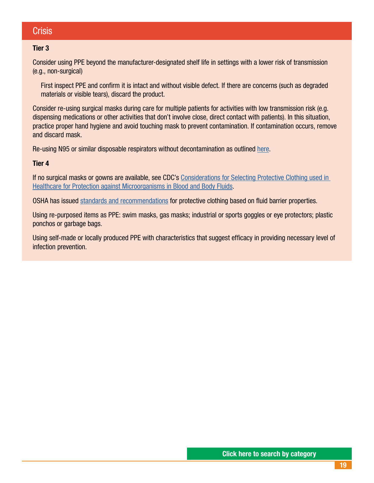### **Crisis**

#### Tier 3

Consider using PPE beyond the manufacturer-designated shelf life in settings with a lower risk of transmission (e.g., non-surgical)

First inspect PPE and confirm it is intact and without visible defect. If there are concerns (such as degraded materials or visible tears), discard the product.

Consider re-using surgical masks during care for multiple patients for activities with low transmission risk (e.g. dispensing medications or other activities that don't involve close, direct contact with patients). In this situation, practice proper hand hygiene and avoid touching mask to prevent contamination. If contamination occurs, remove and discard mask.

Re-using N95 or similar disposable respirators without decontamination as outlined [here.](http://www.cdc.gov/niosh/topics/hcwcontrols/recommendedguidanceextuse.html)

#### Tier 4

If no surgical masks or gowns are available, see CDC's Considerations for Selecting Protective Clothing used in [Healthcare for Protection against Microorganisms in Blood and Body Fluids.](https://www.cdc.gov/niosh/npptl/topics/protectiveclothing/default.html)

OSHA has issued [standards and recommendations](https://www.osha.gov/SLTC/covid-19/standards.html) for protective clothing based on fluid barrier properties.

Using re-purposed items as PPE: swim masks, gas masks; industrial or sports goggles or eye protectors; plastic ponchos or garbage bags.

Using self-made or locally produced PPE with characteristics that suggest efficacy in providing necessary level of infection prevention.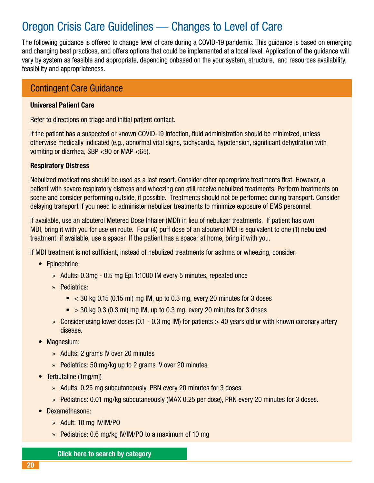# <span id="page-19-0"></span>Oregon Crisis Care Guidelines — Changes to Level of Care

The following guidance is offered to change level of care during a COVID-19 pandemic. This guidance is based on emerging and changing best practices, and offers options that could be implemented at a local level. Application of the guidance will vary by system as feasible and appropriate, depending onbased on the your system, structure, and resources availability, feasibility and appropriateness.

### Contingent Care Guidance

#### Universal Patient Care

Refer to directions on triage and initial patient contact.

If the patient has a suspected or known COVID-19 infection, fluid administration should be minimized, unless otherwise medically indicated (e.g., abnormal vital signs, tachycardia, hypotension, significant dehydration with vomiting or diarrhea, SBP <90 or MAP <65).

#### Respiratory Distress

Nebulized medications should be used as a last resort. Consider other appropriate treatments first. However, a patient with severe respiratory distress and wheezing can still receive nebulized treatments. Perform treatments on scene and consider performing outside, if possible. Treatments should not be performed during transport. Consider delaying transport if you need to administer nebulizer treatments to minimize exposure of EMS personnel.

If available, use an albuterol Metered Dose Inhaler (MDI) in lieu of nebulizer treatments. If patient has own MDI, bring it with you for use en route. Four (4) puff dose of an albuterol MDI is equivalent to one (1) nebulized treatment; if available, use a spacer. If the patient has a spacer at home, bring it with you.

If MDI treatment is not sufficient, instead of nebulized treatments for asthma or wheezing, consider:

- Epinephrine
	- » Adults: 0.3mg 0.5 mg Epi 1:1000 IM every 5 minutes, repeated once
	- » Pediatrics:
		- $\sim$  < 30 kg 0.15 (0.15 ml) mg IM, up to 0.3 mg, every 20 minutes for 3 doses
		- $\approx$  > 30 kg 0.3 (0.3 ml) mg IM, up to 0.3 mg, every 20 minutes for 3 doses
	- » Consider using lower doses (0.1 0.3 mg IM) for patients  $> 40$  years old or with known coronary artery disease.
- Magnesium:
	- » Adults: 2 grams IV over 20 minutes
	- » Pediatrics: 50 mg/kg up to 2 grams IV over 20 minutes
- Terbutaline (1mg/ml)
	- » Adults: 0.25 mg subcutaneously, PRN every 20 minutes for 3 doses.
	- » Pediatrics: 0.01 mg/kg subcutaneously (MAX 0.25 per dose), PRN every 20 minutes for 3 doses.
- Dexamethasone:
	- » Adult: 10 mg IV/IM/PO
	- » Pediatrics: 0.6 mg/kg IV/IM/PO to a maximum of 10 mg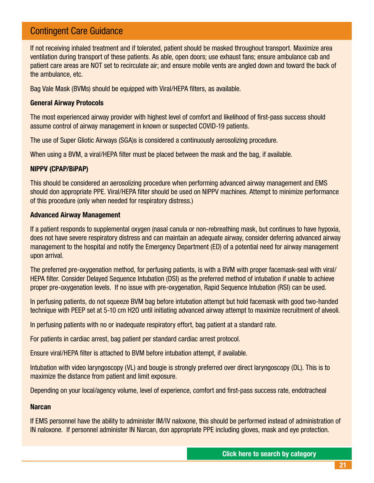### Contingent Care Guidance

If not receiving inhaled treatment and if tolerated, patient should be masked throughout transport. Maximize area ventilation during transport of these patients. As able, open doors; use exhaust fans; ensure ambulance cab and patient care areas are NOT set to recirculate air; and ensure mobile vents are angled down and toward the back of the ambulance, etc.

Bag Vale Mask (BVMs) should be equipped with Viral/HEPA filters, as available.

#### General Airway Protocols

The most experienced airway provider with highest level of comfort and likelihood of first-pass success should assume control of airway management in known or suspected COVID-19 patients.

The use of Super Gliotic Airways (SGA)s is considered a continuously aerosolizing procedure.

When using a BVM, a viral/HEPA filter must be placed between the mask and the bag, if available.

#### NIPPV (CPAP/BiPAP)

This should be considered an aerosolizing procedure when performing advanced airway management and EMS should don appropriate PPE. Viral/HEPA filter should be used on NIPPV machines. Attempt to minimize performance of this procedure (only when needed for respiratory distress.)

#### Advanced Airway Management

If a patient responds to supplemental oxygen (nasal canula or non-rebreathing mask, but continues to have hypoxia, does not have severe respiratory distress and can maintain an adequate airway, consider deferring advanced airway management to the hospital and notify the Emergency Department (ED) of a potential need for airway management upon arrival.

The preferred pre-oxygenation method, for perfusing patients, is with a BVM with proper facemask-seal with viral/ HEPA filter. Consider Delayed Sequence Intubation (DSI) as the preferred method of intubation if unable to achieve proper pre-oxygenation levels. If no issue with pre-oxygenation, Rapid Sequence Intubation (RSI) can be used.

In perfusing patients, do not squeeze BVM bag before intubation attempt but hold facemask with good two-handed technique with PEEP set at 5-10 cm H2O until initiating advanced airway attempt to maximize recruitment of alveoli.

In perfusing patients with no or inadequate respiratory effort, bag patient at a standard rate.

For patients in cardiac arrest, bag patient per standard cardiac arrest protocol.

Ensure viral/HEPA filter is attached to BVM before intubation attempt, if available.

Intubation with video laryngoscopy (VL) and bougie is strongly preferred over direct laryngoscopy (DL). This is to maximize the distance from patient and limit exposure.

Depending on your local/agency volume, level of experience, comfort and first-pass success rate, endotracheal

#### **Narcan**

If EMS personnel have the ability to administer IM/IV naloxone, this should be performed instead of administration of IN naloxone. If personnel administer IN Narcan, don appropriate PPE including gloves, mask and eye protection.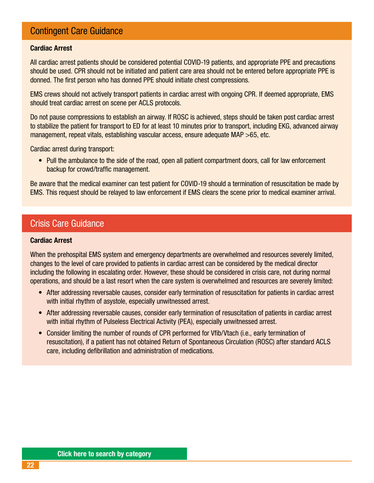### Contingent Care Guidance

#### Cardiac Arrest

All cardiac arrest patients should be considered potential COVID-19 patients, and appropriate PPE and precautions should be used. CPR should not be initiated and patient care area should not be entered before appropriate PPE is donned. The first person who has donned PPE should initiate chest compressions.

EMS crews should not actively transport patients in cardiac arrest with ongoing CPR. If deemed appropriate, EMS should treat cardiac arrest on scene per ACLS protocols.

Do not pause compressions to establish an airway. If ROSC is achieved, steps should be taken post cardiac arrest to stabilize the patient for transport to ED for at least 10 minutes prior to transport, including EKG, advanced airway management, repeat vitals, establishing vascular access, ensure adequate MAP >65, etc.

Cardiac arrest during transport:

• Pull the ambulance to the side of the road, open all patient compartment doors, call for law enforcement backup for crowd/traffic management.

Be aware that the medical examiner can test patient for COVID-19 should a termination of resuscitation be made by EMS. This request should be relayed to law enforcement if EMS clears the scene prior to medical examiner arrival.

#### Crisis Care Guidance

#### Cardiac Arrest

When the prehospital EMS system and emergency departments are overwhelmed and resources severely limited, changes to the level of care provided to patients in cardiac arrest can be considered by the medical director including the following in escalating order. However, these should be considered in crisis care, not during normal operations, and should be a last resort when the care system is overwhelmed and resources are severely limited:

- After addressing reversable causes, consider early termination of resuscitation for patients in cardiac arrest with initial rhythm of asystole, especially unwitnessed arrest.
- After addressing reversable causes, consider early termination of resuscitation of patients in cardiac arrest with initial rhythm of Pulseless Electrical Activity (PEA), especially unwitnessed arrest.
- Consider limiting the number of rounds of CPR performed for Vfib/Vtach (i.e., early termination of resuscitation), if a patient has not obtained Return of Spontaneous Circulation (ROSC) after standard ACLS care, including defibrillation and administration of medications.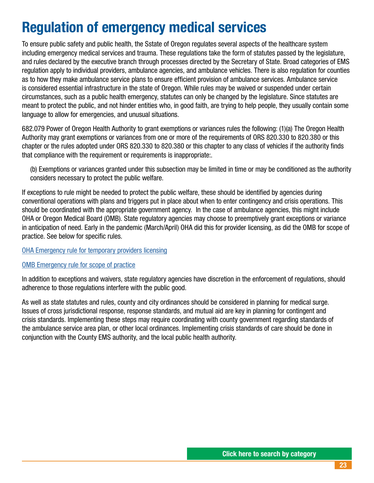# <span id="page-22-0"></span>Regulation of emergency medical services

To ensure public safety and public health, the Sstate of Oregon regulates several aspects of the healthcare system including emergency medical services and trauma. These regulations take the form of statutes passed by the legislature, and rules declared by the executive branch through processes directed by the Secretary of State. Broad categories of EMS regulation apply to individual providers, ambulance agencies, and ambulance vehicles. There is also regulation for counties as to how they make ambulance service plans to ensure efficient provision of ambulance services. Ambulance service is considered essential infrastructure in the state of Oregon. While rules may be waived or suspended under certain circumstances, such as a public health emergency, statutes can only be changed by the legislature. Since statutes are meant to protect the public, and not hinder entities who, in good faith, are trying to help people, they usually contain some language to allow for emergencies, and unusual situations.

682.079 Power of Oregon Health Authority to grant exemptions or variances rules the following: (1)(a) The Oregon Health Authority may grant exemptions or variances from one or more of the requirements of ORS 820.330 to 820.380 or this chapter or the rules adopted under ORS 820.330 to 820.380 or this chapter to any class of vehicles if the authority finds that compliance with the requirement or requirements is inappropriate:.

(b) Exemptions or variances granted under this subsection may be limited in time or may be conditioned as the authority considers necessary to protect the public welfare.

If exceptions to rule might be needed to protect the public welfare, these should be identified by agencies during conventional operations with plans and triggers put in place about when to enter contingency and crisis operations. This should be coordinated with the appropriate government agency. In the case of ambulance agencies, this might include OHA or Oregon Medical Board (OMB). State regulatory agencies may choose to preemptively grant exceptions or variance in anticipation of need. Early in the pandemic (March/April) OHA did this for provider licensing, as did the OMB for scope of practice. See below for specific rules.

#### [OHA Emergency rule for temporary providers licensing](https://www.oregon.gov/oha/PH/PROVIDERPARTNERRESOURCES/EMSTRAUMASYSTEMS/Documents/Rules%20and%20Statutes/OAR3332650058_TemporaryRuleProvisionalLicense.pdf)

#### [OMB Emergency rule for scope of practice](https://www.oregon.gov/omb/statutesrules/Documents/847-035-0032.pdf)

In addition to exceptions and waivers, state regulatory agencies have discretion in the enforcement of regulations, should adherence to those regulations interfere with the public good.

As well as state statutes and rules, county and city ordinances should be considered in planning for medical surge. Issues of cross jurisdictional response, response standards, and mutual aid are key in planning for contingent and crisis standards. Implementing these steps may require coordinating with county government regarding standards of the ambulance service area plan, or other local ordinances. Implementing crisis standards of care should be done in conjunction with the County EMS authority, and the local public health authority.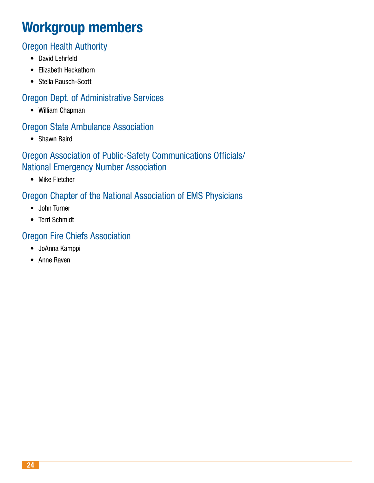# Workgroup members

### Oregon Health Authority

- David Lehrfeld
- Elizabeth Heckathorn
- Stella Rausch-Scott

### Oregon Dept. of Administrative Services

• William Chapman

### Oregon State Ambulance Association

• Shawn Baird

### Oregon Association of Public-Safety Communications Officials/ National Emergency Number Association

• Mike Fletcher

### Oregon Chapter of the National Association of EMS Physicians

- John Turner
- Terri Schmidt

### Oregon Fire Chiefs Association

- JoAnna Kamppi
- Anne Raven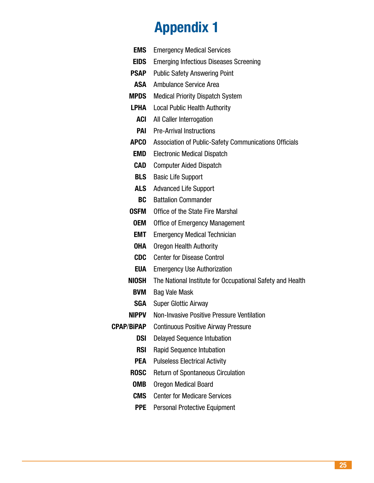# Appendix 1

| <b>EMS</b>   | <b>Emergency Medical Services</b>                         |
|--------------|-----------------------------------------------------------|
| <b>EIDS</b>  | <b>Emerging Infectious Diseases Screening</b>             |
| PSAP         | <b>Public Safety Answering Point</b>                      |
| ASA          | <b>Ambulance Service Area</b>                             |
| <b>MPDS</b>  | <b>Medical Priority Dispatch System</b>                   |
| LPHA         | <b>Local Public Health Authority</b>                      |
| ACI          | All Caller Interrogation                                  |
| <b>PAI</b>   | <b>Pre-Arrival Instructions</b>                           |
| <b>APCO</b>  | Association of Public-Safety Communications Officials     |
| EMD          | <b>Electronic Medical Dispatch</b>                        |
| CAD          | <b>Computer Aided Dispatch</b>                            |
| <b>BLS</b>   | <b>Basic Life Support</b>                                 |
| ALS          | <b>Advanced Life Support</b>                              |
| BC           | <b>Battalion Commander</b>                                |
| <b>OSFM</b>  | Office of the State Fire Marshal                          |
| <b>OEM</b>   | <b>Office of Emergency Management</b>                     |
| EMT          | <b>Emergency Medical Technician</b>                       |
| <b>OHA</b>   | <b>Oregon Health Authority</b>                            |
| <b>CDC</b>   | <b>Center for Disease Control</b>                         |
| EUA          | <b>Emergency Use Authorization</b>                        |
| <b>NIOSH</b> | The National Institute for Occupational Safety and Health |
| <b>BVM</b>   | <b>Bag Vale Mask</b>                                      |
| <b>SGA</b>   | <b>Super Glottic Airway</b>                               |
| <b>NIPPV</b> | Non-Invasive Positive Pressure Ventilation                |
| CPAP/BiPAP   | <b>Continuous Positive Airway Pressure</b>                |
| DSI          | <b>Delayed Sequence Intubation</b>                        |
| <b>RSI</b>   | <b>Rapid Sequence Intubation</b>                          |
| <b>PEA</b>   | <b>Pulseless Electrical Activity</b>                      |
| <b>ROSC</b>  | <b>Return of Spontaneous Circulation</b>                  |
| <b>OMB</b>   | <b>Oregon Medical Board</b>                               |
| <b>CMS</b>   | <b>Center for Medicare Services</b>                       |
| <b>PPE</b>   | <b>Personal Protective Equipment</b>                      |